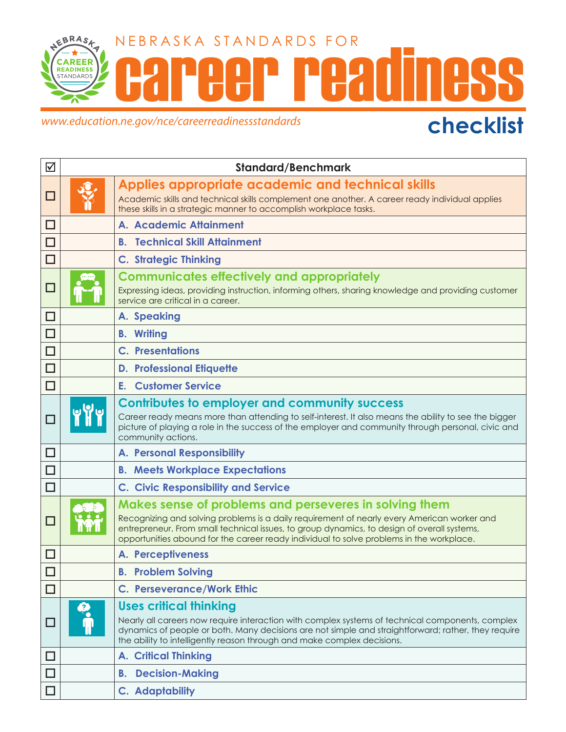

## www.education.ne.gov/nce/careerreadinessstandards **checklist**

| ☑      | <b>Standard/Benchmark</b> |                                                                                                                                                                                                                                                                                                                                                  |
|--------|---------------------------|--------------------------------------------------------------------------------------------------------------------------------------------------------------------------------------------------------------------------------------------------------------------------------------------------------------------------------------------------|
| ப      |                           | Applies appropriate academic and technical skills<br>Academic skills and technical skills complement one another. A career ready individual applies<br>these skills in a strategic manner to accomplish workplace tasks.                                                                                                                         |
| $\Box$ |                           | A. Academic Attainment                                                                                                                                                                                                                                                                                                                           |
| $\Box$ |                           | <b>Technical Skill Attainment</b><br>В.                                                                                                                                                                                                                                                                                                          |
| □      |                           | <b>C. Strategic Thinking</b>                                                                                                                                                                                                                                                                                                                     |
| □      |                           | <b>Communicates effectively and appropriately</b><br>Expressing ideas, providing instruction, informing others, sharing knowledge and providing customer<br>service are critical in a career.                                                                                                                                                    |
| $\Box$ |                           | A. Speaking                                                                                                                                                                                                                                                                                                                                      |
| □      |                           | <b>B.</b> Writing                                                                                                                                                                                                                                                                                                                                |
| □      |                           | <b>C.</b> Presentations                                                                                                                                                                                                                                                                                                                          |
| □      |                           | <b>D. Professional Etiquette</b>                                                                                                                                                                                                                                                                                                                 |
| $\Box$ |                           | <b>E.</b> Customer Service                                                                                                                                                                                                                                                                                                                       |
| □      |                           | <b>Contributes to employer and community success</b><br>Career ready means more than attending to self-interest. It also means the ability to see the bigger<br>picture of playing a role in the success of the employer and community through personal, civic and<br>community actions.                                                         |
| $\Box$ |                           | <b>A. Personal Responsibility</b>                                                                                                                                                                                                                                                                                                                |
| $\Box$ |                           | <b>B. Meets Workplace Expectations</b>                                                                                                                                                                                                                                                                                                           |
| $\Box$ |                           | <b>C. Civic Responsibility and Service</b>                                                                                                                                                                                                                                                                                                       |
| □      |                           | Makes sense of problems and perseveres in solving them<br>Recognizing and solving problems is a daily requirement of nearly every American worker and<br>entrepreneur. From small technical issues, to group dynamics, to design of overall systems,<br>opportunities abound for the career ready individual to solve problems in the workplace. |
|        |                           | <b>A. Perceptiveness</b>                                                                                                                                                                                                                                                                                                                         |
| $\Box$ |                           | <b>B.</b> Problem Solving                                                                                                                                                                                                                                                                                                                        |
| □      |                           | <b>C. Perseverance/Work Ethic</b>                                                                                                                                                                                                                                                                                                                |
|        | 0                         | <b>Uses critical thinking</b><br>Nearly all careers now require interaction with complex systems of technical components, complex<br>dynamics of people or both. Many decisions are not simple and straightforward; rather, they require<br>the ability to intelligently reason through and make complex decisions.                              |
| □      |                           | <b>A. Critical Thinking</b>                                                                                                                                                                                                                                                                                                                      |
| □      |                           | <b>Decision-Making</b><br>В.                                                                                                                                                                                                                                                                                                                     |
|        |                           | C. Adaptability                                                                                                                                                                                                                                                                                                                                  |